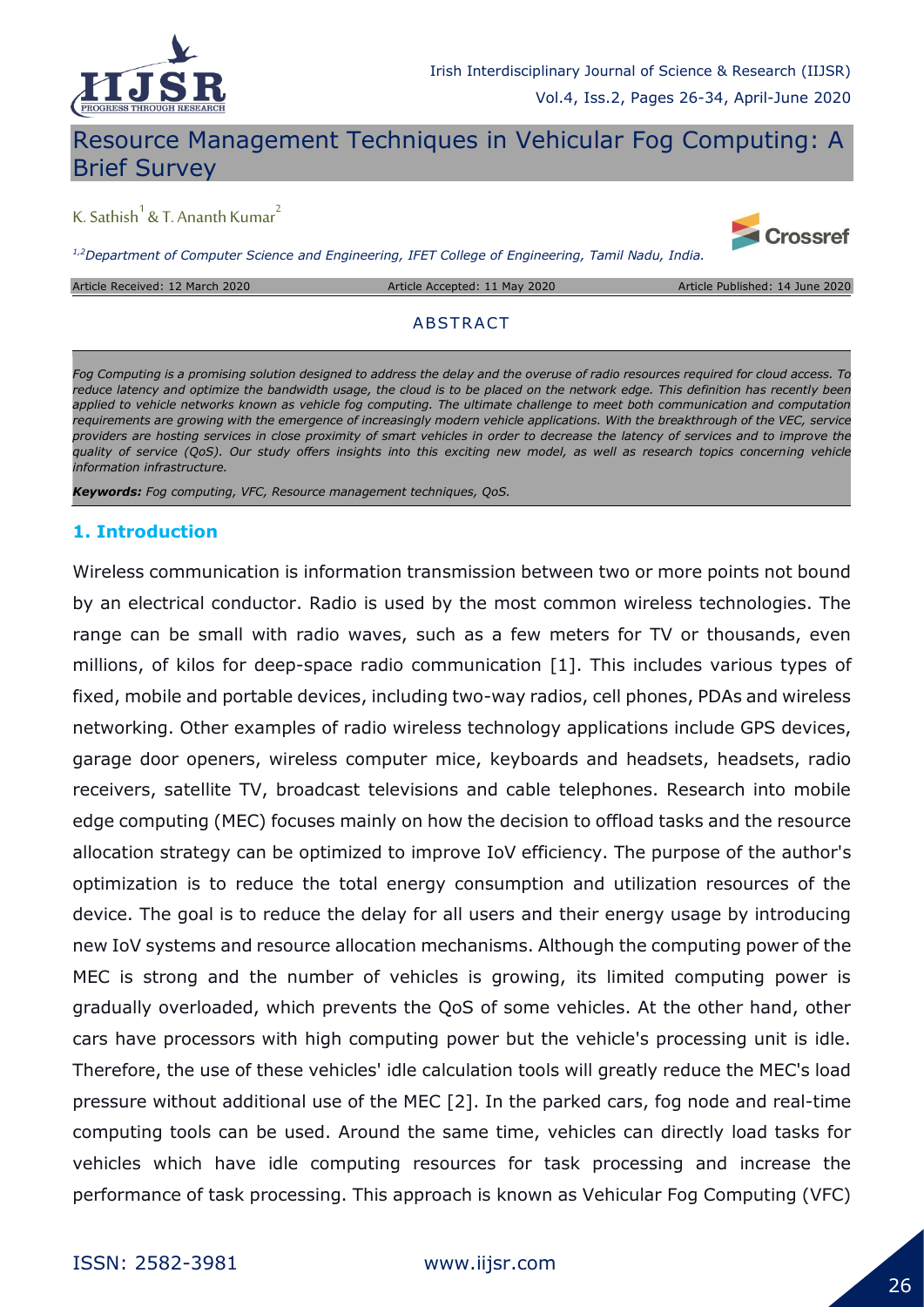

## Resource Management Techniques in Vehicular Fog Computing: A Brief Survey

# K. Sathish $^1$  & T. Ananth Kumar $^2$

*1,2Department of Computer Science and Engineering, IFET College of Engineering, Tamil Nadu, India.*

Article Received: 12 March 2020 Article Accepted: 11 May 2020 Article Published: 14 June 2020

**Crossref** 

#### **ABSTRACT**

*Fog Computing is a promising solution designed to address the delay and the overuse of radio resources required for cloud access. To*  reduce latency and optimize the bandwidth usage, the cloud is to be placed on the network edge. This definition has recently been *applied to vehicle networks known as vehicle fog computing. The ultimate challenge to meet both communication and computation requirements are growing with the emergence of increasingly modern vehicle applications. With the breakthrough of the VEC, service*  providers are hosting services in close proximity of smart vehicles in order to decrease the latency of services and to improve the *quality of service (QoS). Our study offers insights into this exciting new model, as well as research topics concerning vehicle information infrastructure.*

*Keywords: Fog computing, VFC, Resource management techniques, QoS.*

### **1. Introduction**

Wireless communication is information transmission between two or more points not bound by an electrical conductor. Radio is used by the most common wireless technologies. The range can be small with radio waves, such as a few meters for TV or thousands, even millions, of kilos for deep-space radio communication [1]. This includes various types of fixed, mobile and portable devices, including two-way radios, cell phones, PDAs and wireless networking. Other examples of radio wireless technology applications include GPS devices, garage door openers, wireless computer mice, keyboards and headsets, headsets, radio receivers, satellite TV, broadcast televisions and cable telephones. Research into mobile edge computing (MEC) focuses mainly on how the decision to offload tasks and the resource allocation strategy can be optimized to improve IoV efficiency. The purpose of the author's optimization is to reduce the total energy consumption and utilization resources of the device. The goal is to reduce the delay for all users and their energy usage by introducing new IoV systems and resource allocation mechanisms. Although the computing power of the MEC is strong and the number of vehicles is growing, its limited computing power is gradually overloaded, which prevents the QoS of some vehicles. At the other hand, other cars have processors with high computing power but the vehicle's processing unit is idle. Therefore, the use of these vehicles' idle calculation tools will greatly reduce the MEC's load pressure without additional use of the MEC [2]. In the parked cars, fog node and real-time computing tools can be used. Around the same time, vehicles can directly load tasks for vehicles which have idle computing resources for task processing and increase the performance of task processing. This approach is known as Vehicular Fog Computing (VFC)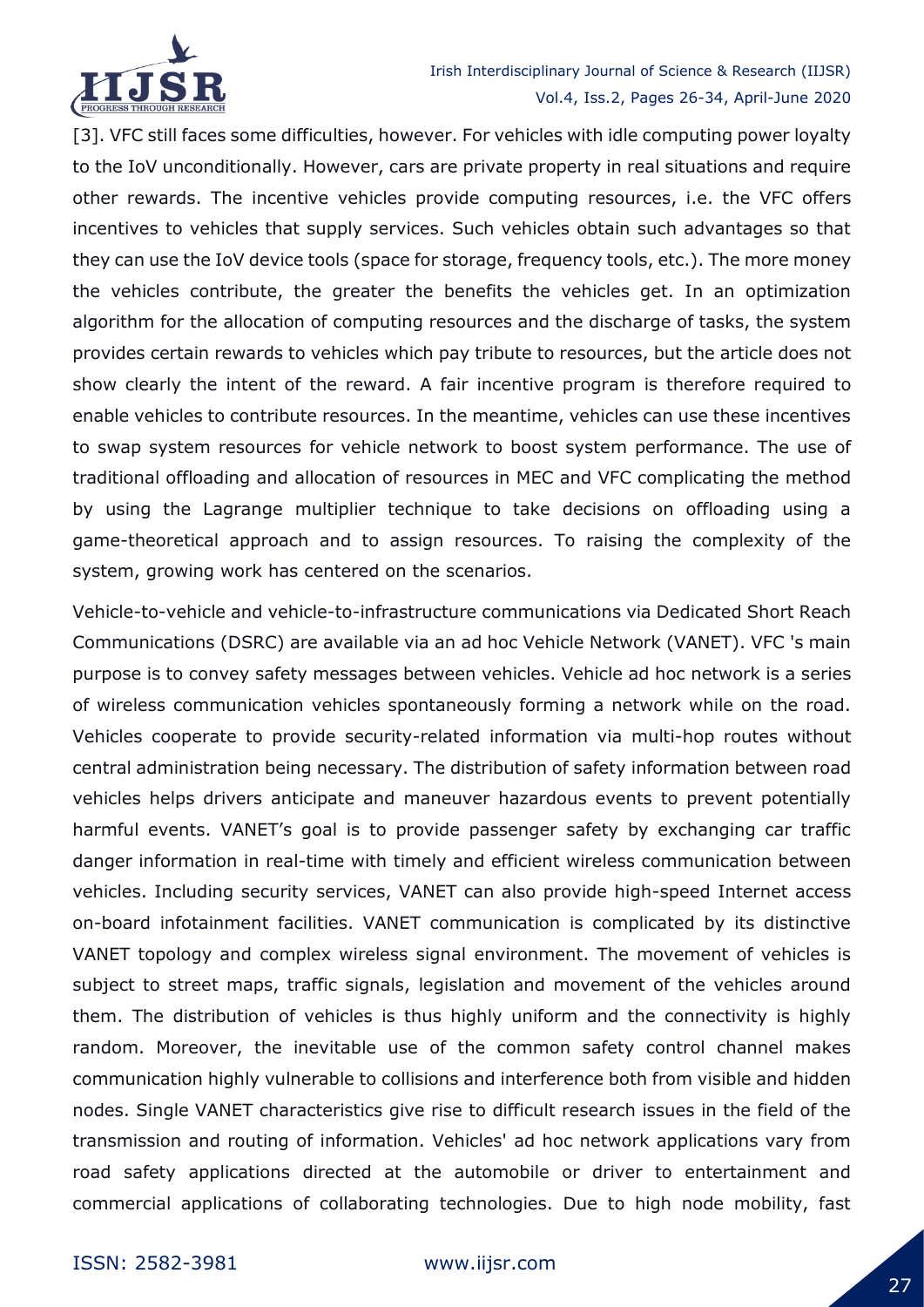

[3]. VFC still faces some difficulties, however. For vehicles with idle computing power loyalty to the IoV unconditionally. However, cars are private property in real situations and require other rewards. The incentive vehicles provide computing resources, i.e. the VFC offers incentives to vehicles that supply services. Such vehicles obtain such advantages so that they can use the IoV device tools (space for storage, frequency tools, etc.). The more money the vehicles contribute, the greater the benefits the vehicles get. In an optimization algorithm for the allocation of computing resources and the discharge of tasks, the system provides certain rewards to vehicles which pay tribute to resources, but the article does not show clearly the intent of the reward. A fair incentive program is therefore required to enable vehicles to contribute resources. In the meantime, vehicles can use these incentives to swap system resources for vehicle network to boost system performance. The use of traditional offloading and allocation of resources in MEC and VFC complicating the method by using the Lagrange multiplier technique to take decisions on offloading using a game-theoretical approach and to assign resources. To raising the complexity of the system, growing work has centered on the scenarios.

Vehicle-to-vehicle and vehicle-to-infrastructure communications via Dedicated Short Reach Communications (DSRC) are available via an ad hoc Vehicle Network (VANET). VFC 's main purpose is to convey safety messages between vehicles. Vehicle ad hoc network is a series of wireless communication vehicles spontaneously forming a network while on the road. Vehicles cooperate to provide security-related information via multi-hop routes without central administration being necessary. The distribution of safety information between road vehicles helps drivers anticipate and maneuver hazardous events to prevent potentially harmful events. VANET's goal is to provide passenger safety by exchanging car traffic danger information in real-time with timely and efficient wireless communication between vehicles. Including security services, VANET can also provide high-speed Internet access on-board infotainment facilities. VANET communication is complicated by its distinctive VANET topology and complex wireless signal environment. The movement of vehicles is subject to street maps, traffic signals, legislation and movement of the vehicles around them. The distribution of vehicles is thus highly uniform and the connectivity is highly random. Moreover, the inevitable use of the common safety control channel makes communication highly vulnerable to collisions and interference both from visible and hidden nodes. Single VANET characteristics give rise to difficult research issues in the field of the transmission and routing of information. Vehicles' ad hoc network applications vary from road safety applications directed at the automobile or driver to entertainment and commercial applications of collaborating technologies. Due to high node mobility, fast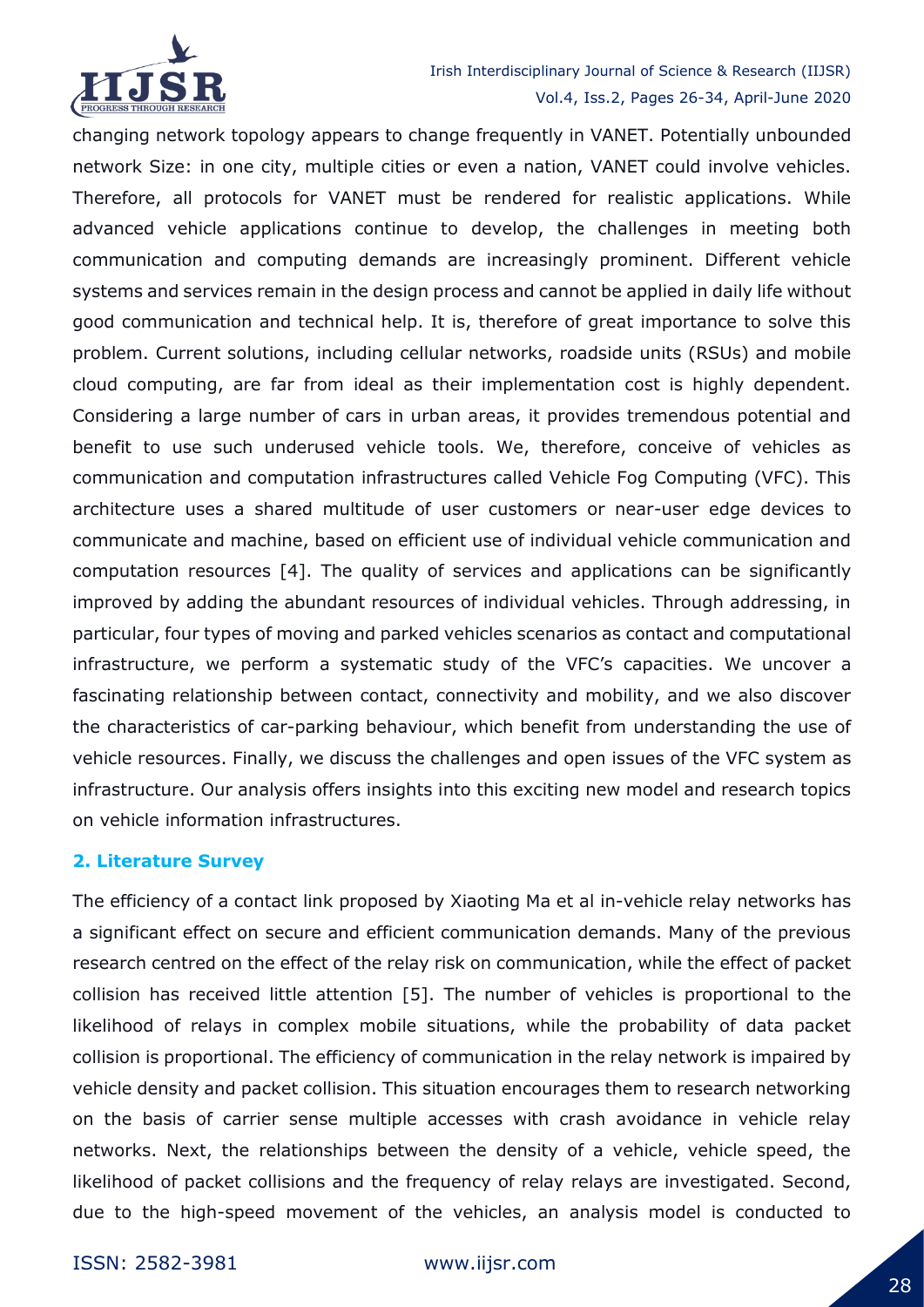

changing network topology appears to change frequently in VANET. Potentially unbounded network Size: in one city, multiple cities or even a nation, VANET could involve vehicles. Therefore, all protocols for VANET must be rendered for realistic applications. While advanced vehicle applications continue to develop, the challenges in meeting both communication and computing demands are increasingly prominent. Different vehicle systems and services remain in the design process and cannot be applied in daily life without good communication and technical help. It is, therefore of great importance to solve this problem. Current solutions, including cellular networks, roadside units (RSUs) and mobile cloud computing, are far from ideal as their implementation cost is highly dependent. Considering a large number of cars in urban areas, it provides tremendous potential and benefit to use such underused vehicle tools. We, therefore, conceive of vehicles as communication and computation infrastructures called Vehicle Fog Computing (VFC). This architecture uses a shared multitude of user customers or near-user edge devices to communicate and machine, based on efficient use of individual vehicle communication and computation resources [4]. The quality of services and applications can be significantly improved by adding the abundant resources of individual vehicles. Through addressing, in particular, four types of moving and parked vehicles scenarios as contact and computational infrastructure, we perform a systematic study of the VFC's capacities. We uncover a fascinating relationship between contact, connectivity and mobility, and we also discover the characteristics of car-parking behaviour, which benefit from understanding the use of vehicle resources. Finally, we discuss the challenges and open issues of the VFC system as infrastructure. Our analysis offers insights into this exciting new model and research topics on vehicle information infrastructures.

### **2. Literature Survey**

The efficiency of a contact link proposed by Xiaoting Ma et al in-vehicle relay networks has a significant effect on secure and efficient communication demands. Many of the previous research centred on the effect of the relay risk on communication, while the effect of packet collision has received little attention [5]. The number of vehicles is proportional to the likelihood of relays in complex mobile situations, while the probability of data packet collision is proportional. The efficiency of communication in the relay network is impaired by vehicle density and packet collision. This situation encourages them to research networking on the basis of carrier sense multiple accesses with crash avoidance in vehicle relay networks. Next, the relationships between the density of a vehicle, vehicle speed, the likelihood of packet collisions and the frequency of relay relays are investigated. Second, due to the high-speed movement of the vehicles, an analysis model is conducted to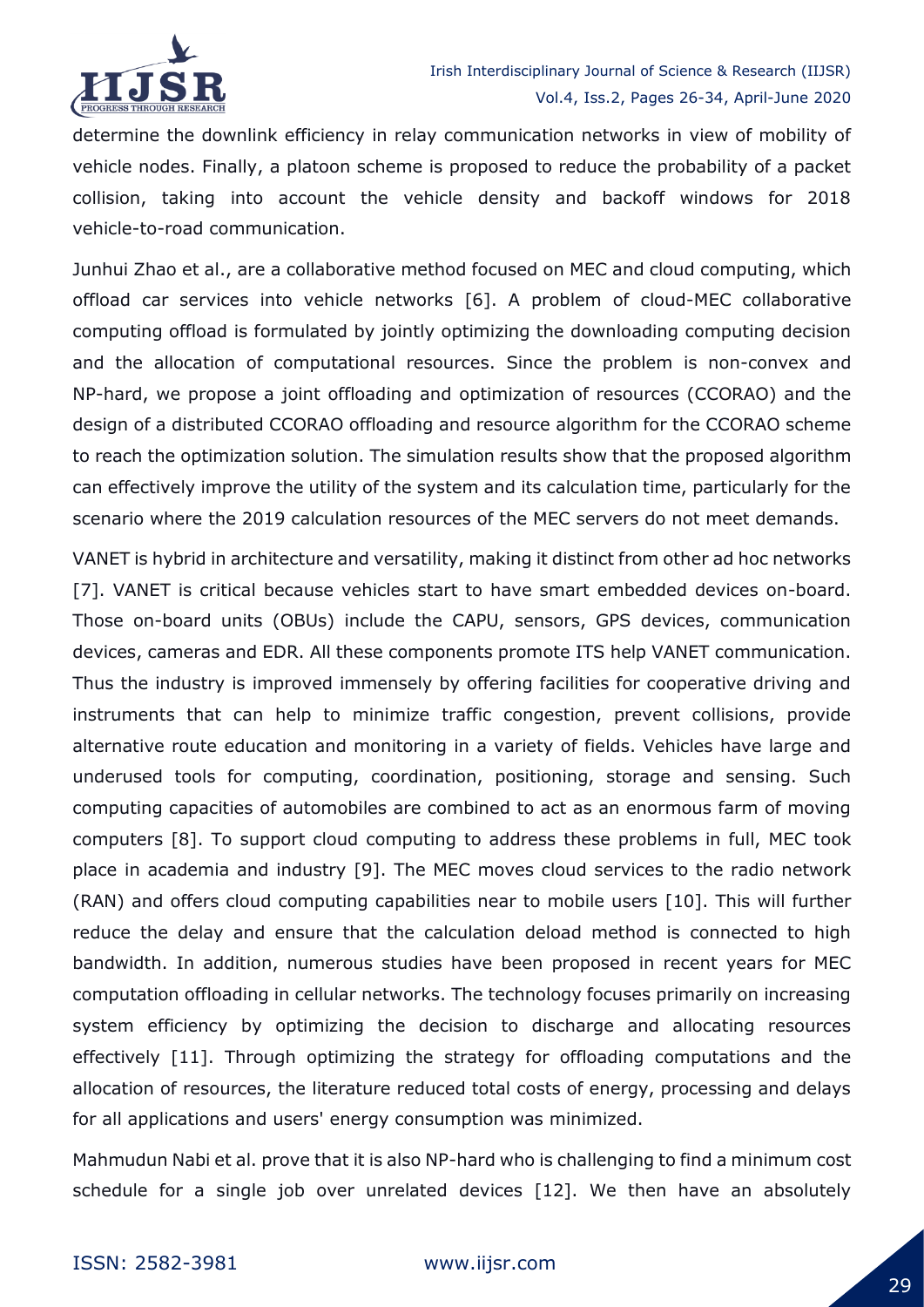

determine the downlink efficiency in relay communication networks in view of mobility of vehicle nodes. Finally, a platoon scheme is proposed to reduce the probability of a packet collision, taking into account the vehicle density and backoff windows for 2018 vehicle-to-road communication.

Junhui Zhao et al., are a collaborative method focused on MEC and cloud computing, which offload car services into vehicle networks [6]. A problem of cloud-MEC collaborative computing offload is formulated by jointly optimizing the downloading computing decision and the allocation of computational resources. Since the problem is non-convex and NP-hard, we propose a joint offloading and optimization of resources (CCORAO) and the design of a distributed CCORAO offloading and resource algorithm for the CCORAO scheme to reach the optimization solution. The simulation results show that the proposed algorithm can effectively improve the utility of the system and its calculation time, particularly for the scenario where the 2019 calculation resources of the MEC servers do not meet demands.

VANET is hybrid in architecture and versatility, making it distinct from other ad hoc networks [7]. VANET is critical because vehicles start to have smart embedded devices on-board. Those on-board units (OBUs) include the CAPU, sensors, GPS devices, communication devices, cameras and EDR. All these components promote ITS help VANET communication. Thus the industry is improved immensely by offering facilities for cooperative driving and instruments that can help to minimize traffic congestion, prevent collisions, provide alternative route education and monitoring in a variety of fields. Vehicles have large and underused tools for computing, coordination, positioning, storage and sensing. Such computing capacities of automobiles are combined to act as an enormous farm of moving computers [8]. To support cloud computing to address these problems in full, MEC took place in academia and industry [9]. The MEC moves cloud services to the radio network (RAN) and offers cloud computing capabilities near to mobile users [10]. This will further reduce the delay and ensure that the calculation deload method is connected to high bandwidth. In addition, numerous studies have been proposed in recent years for MEC computation offloading in cellular networks. The technology focuses primarily on increasing system efficiency by optimizing the decision to discharge and allocating resources effectively [11]. Through optimizing the strategy for offloading computations and the allocation of resources, the literature reduced total costs of energy, processing and delays for all applications and users' energy consumption was minimized.

Mahmudun Nabi et al. prove that it is also NP-hard who is challenging to find a minimum cost schedule for a single job over unrelated devices [12]. We then have an absolutely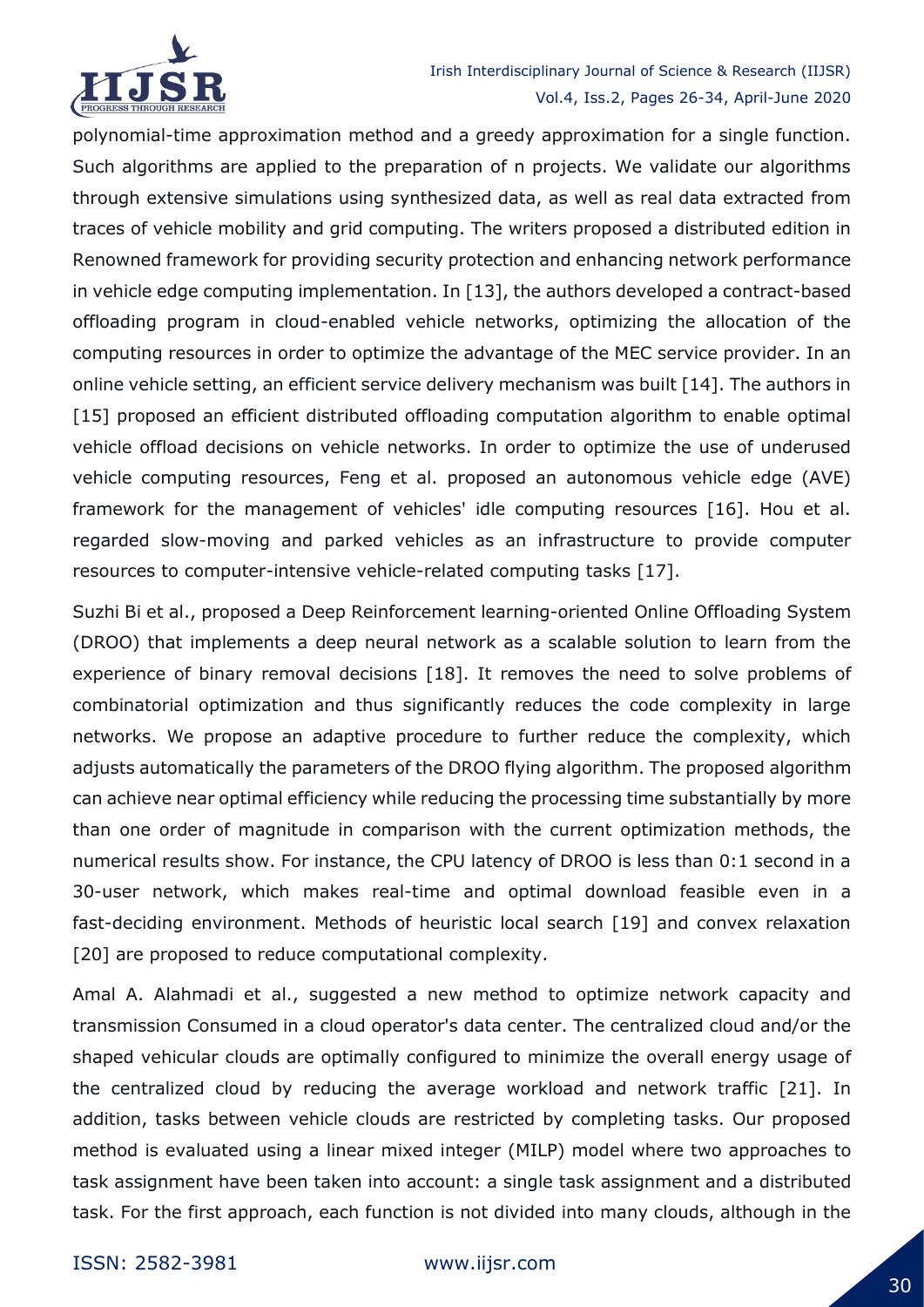

## Irish Interdisciplinary Journal of Science & Research (IIJSR) Vol.4, Iss.2, Pages 26-34, April-June 2020

polynomial-time approximation method and a greedy approximation for a single function. Such algorithms are applied to the preparation of n projects. We validate our algorithms through extensive simulations using synthesized data, as well as real data extracted from traces of vehicle mobility and grid computing. The writers proposed a distributed edition in Renowned framework for providing security protection and enhancing network performance in vehicle edge computing implementation. In [13], the authors developed a contract-based offloading program in cloud-enabled vehicle networks, optimizing the allocation of the computing resources in order to optimize the advantage of the MEC service provider. In an online vehicle setting, an efficient service delivery mechanism was built [14]. The authors in [15] proposed an efficient distributed offloading computation algorithm to enable optimal vehicle offload decisions on vehicle networks. In order to optimize the use of underused vehicle computing resources, Feng et al. proposed an autonomous vehicle edge (AVE) framework for the management of vehicles' idle computing resources [16]. Hou et al. regarded slow-moving and parked vehicles as an infrastructure to provide computer resources to computer-intensive vehicle-related computing tasks [17].

Suzhi Bi et al., proposed a Deep Reinforcement learning-oriented Online Offloading System (DROO) that implements a deep neural network as a scalable solution to learn from the experience of binary removal decisions [18]. It removes the need to solve problems of combinatorial optimization and thus significantly reduces the code complexity in large networks. We propose an adaptive procedure to further reduce the complexity, which adjusts automatically the parameters of the DROO flying algorithm. The proposed algorithm can achieve near optimal efficiency while reducing the processing time substantially by more than one order of magnitude in comparison with the current optimization methods, the numerical results show. For instance, the CPU latency of DROO is less than 0:1 second in a 30-user network, which makes real-time and optimal download feasible even in a fast-deciding environment. Methods of heuristic local search [19] and convex relaxation [20] are proposed to reduce computational complexity.

Amal A. Alahmadi et al., suggested a new method to optimize network capacity and transmission Consumed in a cloud operator's data center. The centralized cloud and/or the shaped vehicular clouds are optimally configured to minimize the overall energy usage of the centralized cloud by reducing the average workload and network traffic [21]. In addition, tasks between vehicle clouds are restricted by completing tasks. Our proposed method is evaluated using a linear mixed integer (MILP) model where two approaches to task assignment have been taken into account: a single task assignment and a distributed task. For the first approach, each function is not divided into many clouds, although in the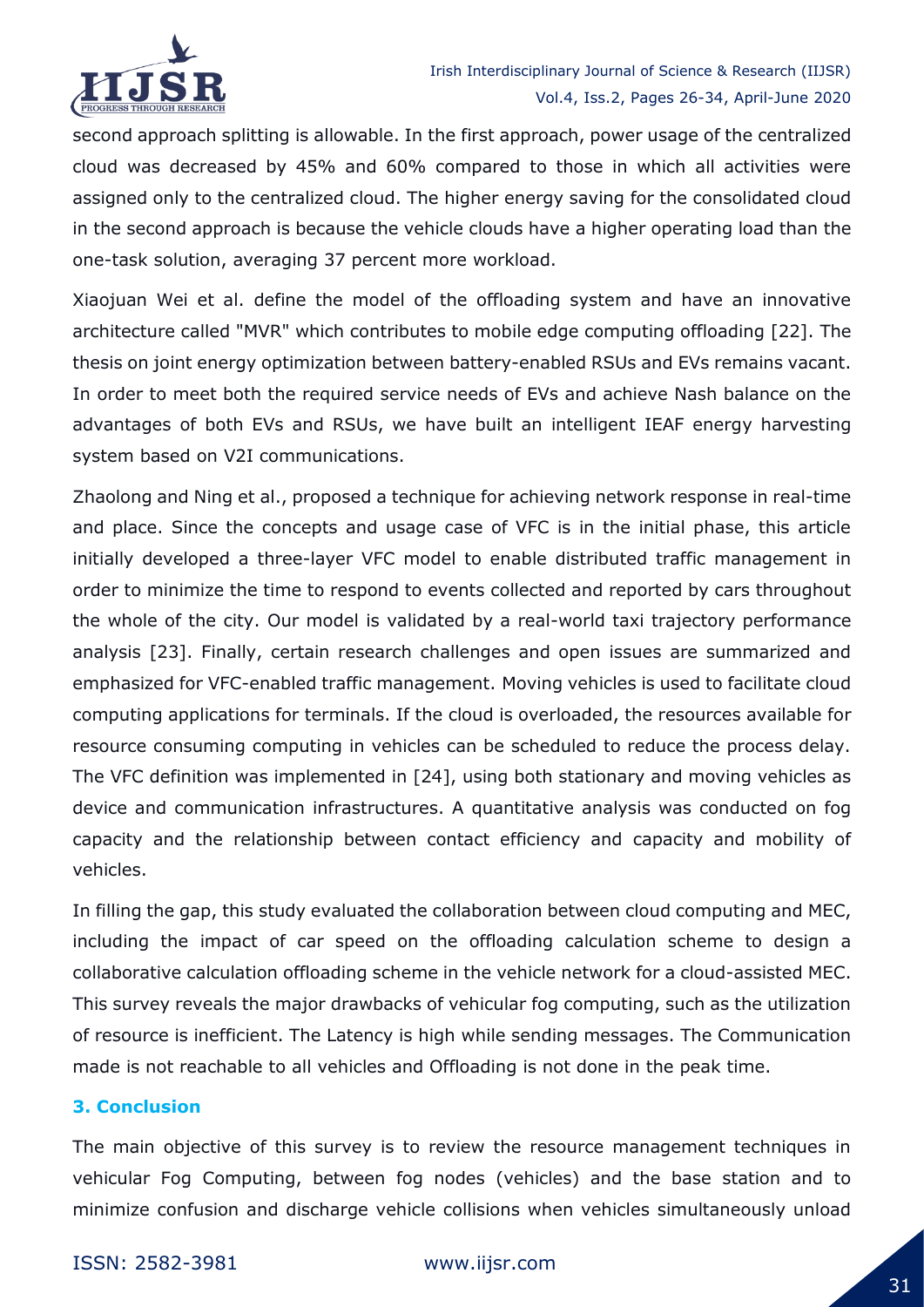

second approach splitting is allowable. In the first approach, power usage of the centralized cloud was decreased by 45% and 60% compared to those in which all activities were assigned only to the centralized cloud. The higher energy saving for the consolidated cloud in the second approach is because the vehicle clouds have a higher operating load than the one-task solution, averaging 37 percent more workload.

Xiaojuan Wei et al. define the model of the offloading system and have an innovative architecture called "MVR" which contributes to mobile edge computing offloading [22]. The thesis on joint energy optimization between battery-enabled RSUs and EVs remains vacant. In order to meet both the required service needs of EVs and achieve Nash balance on the advantages of both EVs and RSUs, we have built an intelligent IEAF energy harvesting system based on V2I communications.

Zhaolong and Ning et al., proposed a technique for achieving network response in real-time and place. Since the concepts and usage case of VFC is in the initial phase, this article initially developed a three-layer VFC model to enable distributed traffic management in order to minimize the time to respond to events collected and reported by cars throughout the whole of the city. Our model is validated by a real-world taxi trajectory performance analysis [23]. Finally, certain research challenges and open issues are summarized and emphasized for VFC-enabled traffic management. Moving vehicles is used to facilitate cloud computing applications for terminals. If the cloud is overloaded, the resources available for resource consuming computing in vehicles can be scheduled to reduce the process delay. The VFC definition was implemented in [24], using both stationary and moving vehicles as device and communication infrastructures. A quantitative analysis was conducted on fog capacity and the relationship between contact efficiency and capacity and mobility of vehicles.

In filling the gap, this study evaluated the collaboration between cloud computing and MEC, including the impact of car speed on the offloading calculation scheme to design a collaborative calculation offloading scheme in the vehicle network for a cloud-assisted MEC. This survey reveals the major drawbacks of vehicular fog computing, such as the utilization of resource is inefficient. The Latency is high while sending messages. The Communication made is not reachable to all vehicles and Offloading is not done in the peak time.

#### **3. Conclusion**

The main objective of this survey is to review the resource management techniques in vehicular Fog Computing, between fog nodes (vehicles) and the base station and to minimize confusion and discharge vehicle collisions when vehicles simultaneously unload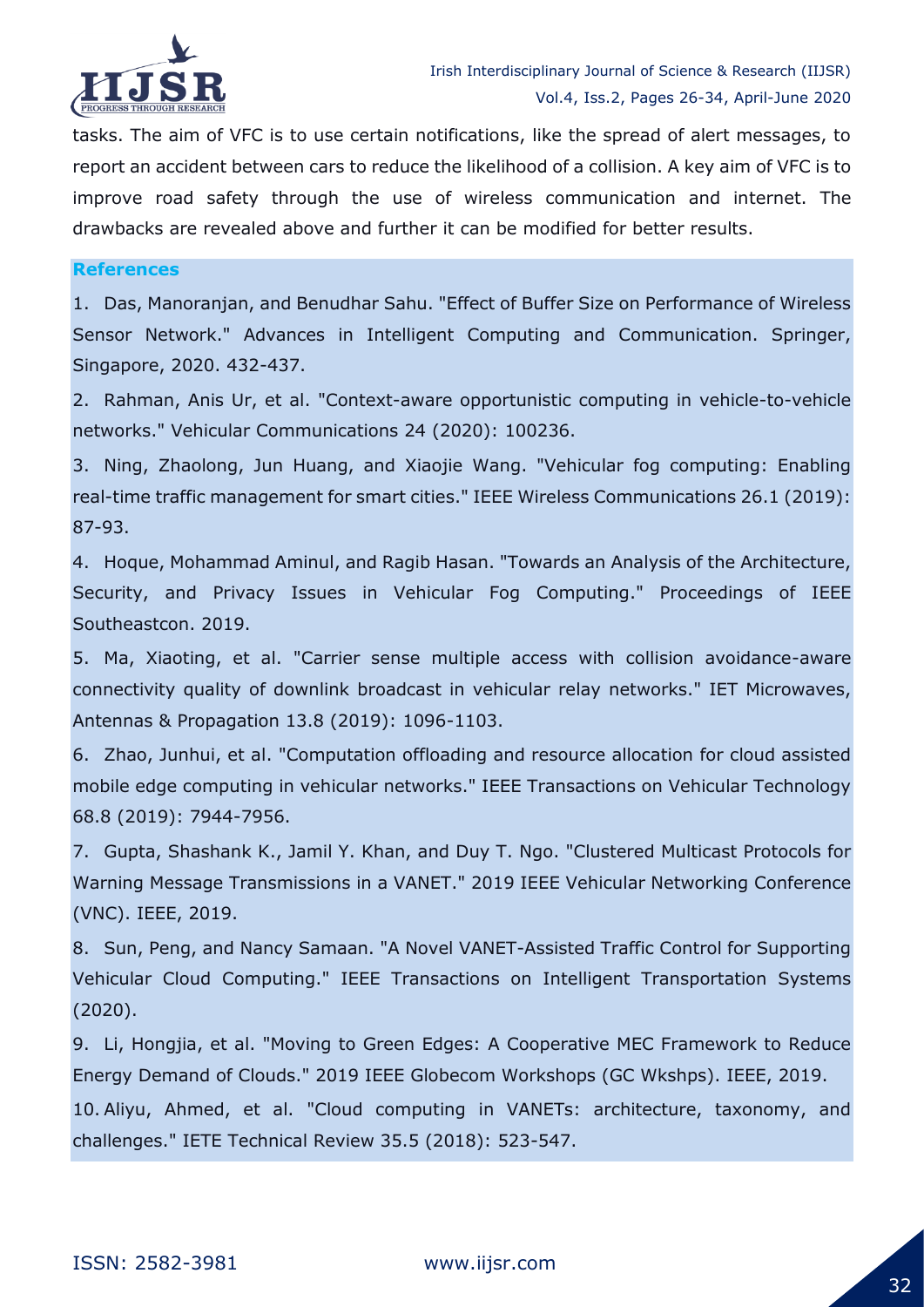

tasks. The aim of VFC is to use certain notifications, like the spread of alert messages, to report an accident between cars to reduce the likelihood of a collision. A key aim of VFC is to improve road safety through the use of wireless communication and internet. The drawbacks are revealed above and further it can be modified for better results.

#### **References**

1. Das, Manoranjan, and Benudhar Sahu. "Effect of Buffer Size on Performance of Wireless Sensor Network." Advances in Intelligent Computing and Communication. Springer, Singapore, 2020. 432-437.

2. Rahman, Anis Ur, et al. "Context-aware opportunistic computing in vehicle-to-vehicle networks." Vehicular Communications 24 (2020): 100236.

3. Ning, Zhaolong, Jun Huang, and Xiaojie Wang. "Vehicular fog computing: Enabling real-time traffic management for smart cities." IEEE Wireless Communications 26.1 (2019): 87-93.

4. Hoque, Mohammad Aminul, and Ragib Hasan. "Towards an Analysis of the Architecture, Security, and Privacy Issues in Vehicular Fog Computing." Proceedings of IEEE Southeastcon. 2019.

5. Ma, Xiaoting, et al. "Carrier sense multiple access with collision avoidance-aware connectivity quality of downlink broadcast in vehicular relay networks." IET Microwaves, Antennas & Propagation 13.8 (2019): 1096-1103.

6. Zhao, Junhui, et al. "Computation offloading and resource allocation for cloud assisted mobile edge computing in vehicular networks." IEEE Transactions on Vehicular Technology 68.8 (2019): 7944-7956.

7. Gupta, Shashank K., Jamil Y. Khan, and Duy T. Ngo. "Clustered Multicast Protocols for Warning Message Transmissions in a VANET." 2019 IEEE Vehicular Networking Conference (VNC). IEEE, 2019.

8. Sun, Peng, and Nancy Samaan. "A Novel VANET-Assisted Traffic Control for Supporting Vehicular Cloud Computing." IEEE Transactions on Intelligent Transportation Systems (2020).

9. Li, Hongjia, et al. "Moving to Green Edges: A Cooperative MEC Framework to Reduce Energy Demand of Clouds." 2019 IEEE Globecom Workshops (GC Wkshps). IEEE, 2019.

10. Aliyu, Ahmed, et al. "Cloud computing in VANETs: architecture, taxonomy, and challenges." IETE Technical Review 35.5 (2018): 523-547.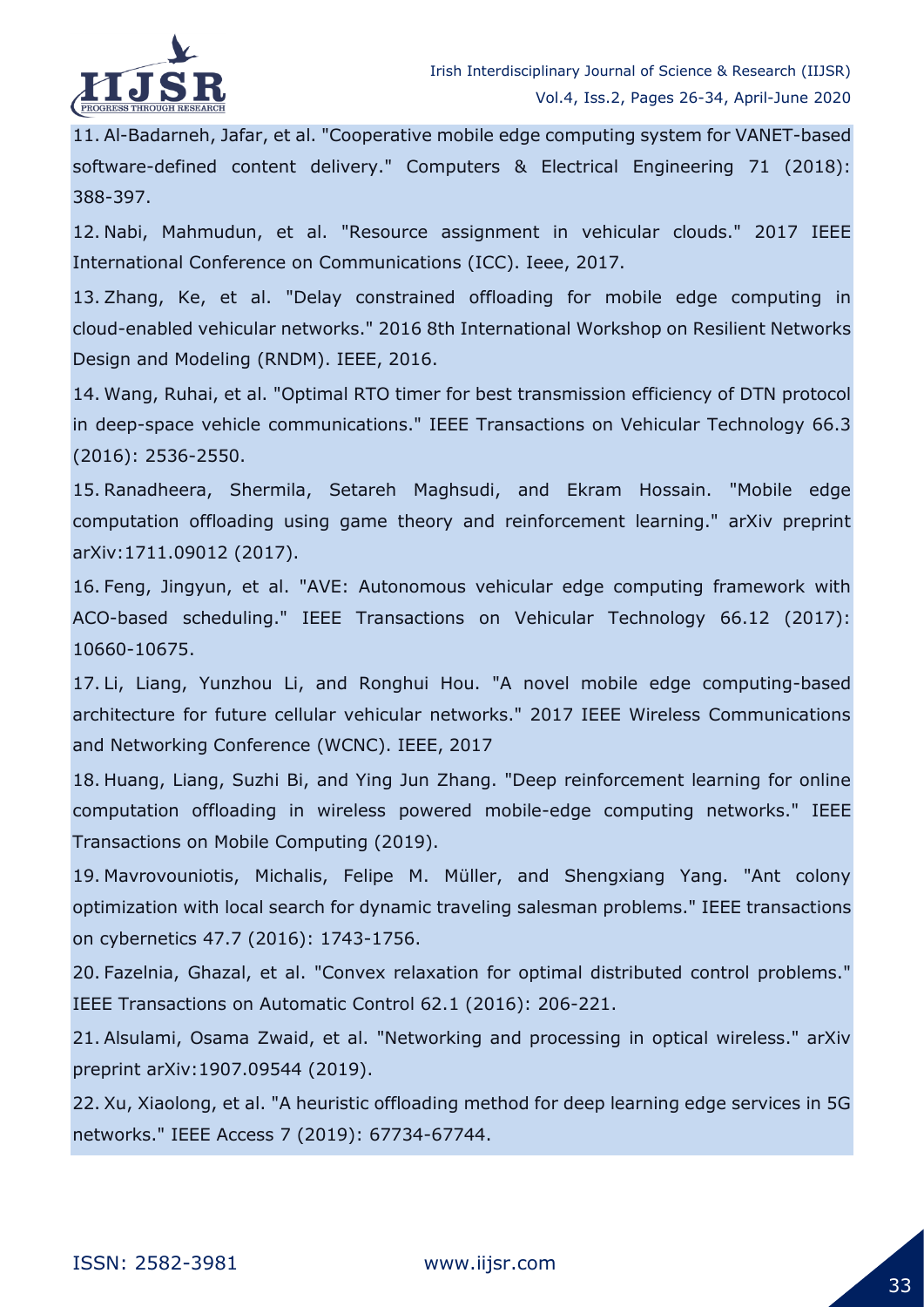

11. Al-Badarneh, Jafar, et al. "Cooperative mobile edge computing system for VANET-based software-defined content delivery." Computers & Electrical Engineering 71 (2018): 388-397.

12. Nabi, Mahmudun, et al. "Resource assignment in vehicular clouds." 2017 IEEE International Conference on Communications (ICC). Ieee, 2017.

13. Zhang, Ke, et al. "Delay constrained offloading for mobile edge computing in cloud-enabled vehicular networks." 2016 8th International Workshop on Resilient Networks Design and Modeling (RNDM). IEEE, 2016.

14. Wang, Ruhai, et al. "Optimal RTO timer for best transmission efficiency of DTN protocol in deep-space vehicle communications." IEEE Transactions on Vehicular Technology 66.3 (2016): 2536-2550.

15. Ranadheera, Shermila, Setareh Maghsudi, and Ekram Hossain. "Mobile edge computation offloading using game theory and reinforcement learning." arXiv preprint arXiv:1711.09012 (2017).

16. Feng, Jingyun, et al. "AVE: Autonomous vehicular edge computing framework with ACO-based scheduling." IEEE Transactions on Vehicular Technology 66.12 (2017): 10660-10675.

17. Li, Liang, Yunzhou Li, and Ronghui Hou. "A novel mobile edge computing-based architecture for future cellular vehicular networks." 2017 IEEE Wireless Communications and Networking Conference (WCNC). IEEE, 2017

18. Huang, Liang, Suzhi Bi, and Ying Jun Zhang. "Deep reinforcement learning for online computation offloading in wireless powered mobile-edge computing networks." IEEE Transactions on Mobile Computing (2019).

19. Mavrovouniotis, Michalis, Felipe M. Müller, and Shengxiang Yang. "Ant colony optimization with local search for dynamic traveling salesman problems." IEEE transactions on cybernetics 47.7 (2016): 1743-1756.

20. Fazelnia, Ghazal, et al. "Convex relaxation for optimal distributed control problems." IEEE Transactions on Automatic Control 62.1 (2016): 206-221.

21. Alsulami, Osama Zwaid, et al. "Networking and processing in optical wireless." arXiv preprint arXiv:1907.09544 (2019).

22. Xu, Xiaolong, et al. "A heuristic offloading method for deep learning edge services in 5G networks." IEEE Access 7 (2019): 67734-67744.